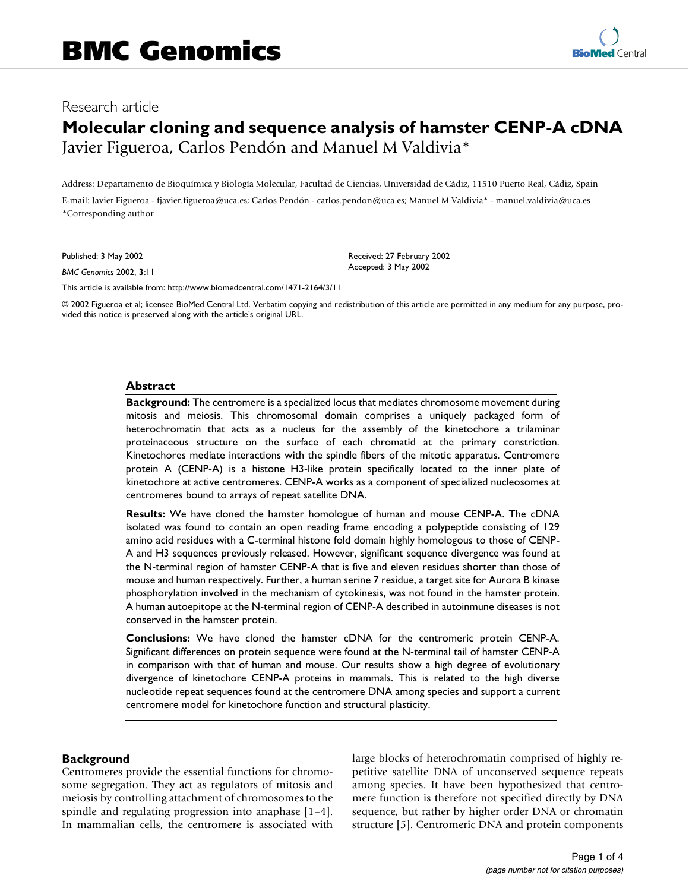# Research article

# **Molecular cloning and sequence analysis of hamster CENP-A cDNA** Javier Figueroa, Carlos Pendón and Manuel M Valdivia\*

Address: Departamento de Bioquímica y Biología Molecular, Facultad de Ciencias, Universidad de Cádiz, 11510 Puerto Real, Cádiz, Spain E-mail: Javier Figueroa - fjavier.figueroa@uca.es; Carlos Pendón - carlos.pendon@uca.es; Manuel M Valdivia\* - manuel.valdivia@uca.es \*Corresponding author

Published: 3 May 2002

*BMC Genomics* 2002, **3**:11

Received: 27 February 2002 Accepted: 3 May 2002

[This article is available from: http://www.biomedcentral.com/1471-2164/3/11](http://www.biomedcentral.com/1471-2164/3/11)

© 2002 Figueroa et al; licensee BioMed Central Ltd. Verbatim copying and redistribution of this article are permitted in any medium for any purpose, provided this notice is preserved along with the article's original URL.

#### **Abstract**

**Background:** The centromere is a specialized locus that mediates chromosome movement during mitosis and meiosis. This chromosomal domain comprises a uniquely packaged form of heterochromatin that acts as a nucleus for the assembly of the kinetochore a trilaminar proteinaceous structure on the surface of each chromatid at the primary constriction. Kinetochores mediate interactions with the spindle fibers of the mitotic apparatus. Centromere protein A (CENP-A) is a histone H3-like protein specifically located to the inner plate of kinetochore at active centromeres. CENP-A works as a component of specialized nucleosomes at centromeres bound to arrays of repeat satellite DNA.

**Results:** We have cloned the hamster homologue of human and mouse CENP-A. The cDNA isolated was found to contain an open reading frame encoding a polypeptide consisting of 129 amino acid residues with a C-terminal histone fold domain highly homologous to those of CENP-A and H3 sequences previously released. However, significant sequence divergence was found at the N-terminal region of hamster CENP-A that is five and eleven residues shorter than those of mouse and human respectively. Further, a human serine 7 residue, a target site for Aurora B kinase phosphorylation involved in the mechanism of cytokinesis, was not found in the hamster protein. A human autoepitope at the N-terminal region of CENP-A described in autoinmune diseases is not conserved in the hamster protein.

**Conclusions:** We have cloned the hamster cDNA for the centromeric protein CENP-A. Significant differences on protein sequence were found at the N-terminal tail of hamster CENP-A in comparison with that of human and mouse. Our results show a high degree of evolutionary divergence of kinetochore CENP-A proteins in mammals. This is related to the high diverse nucleotide repeat sequences found at the centromere DNA among species and support a current centromere model for kinetochore function and structural plasticity.

## **Background**

Centromeres provide the essential functions for chromosome segregation. They act as regulators of mitosis and meiosis by controlling attachment of chromosomes to the spindle and regulating progression into anaphase [1–4]. In mammalian cells, the centromere is associated with large blocks of heterochromatin comprised of highly repetitive satellite DNA of unconserved sequence repeats among species. It have been hypothesized that centromere function is therefore not specified directly by DNA sequence, but rather by higher order DNA or chromatin structure [5]. Centromeric DNA and protein components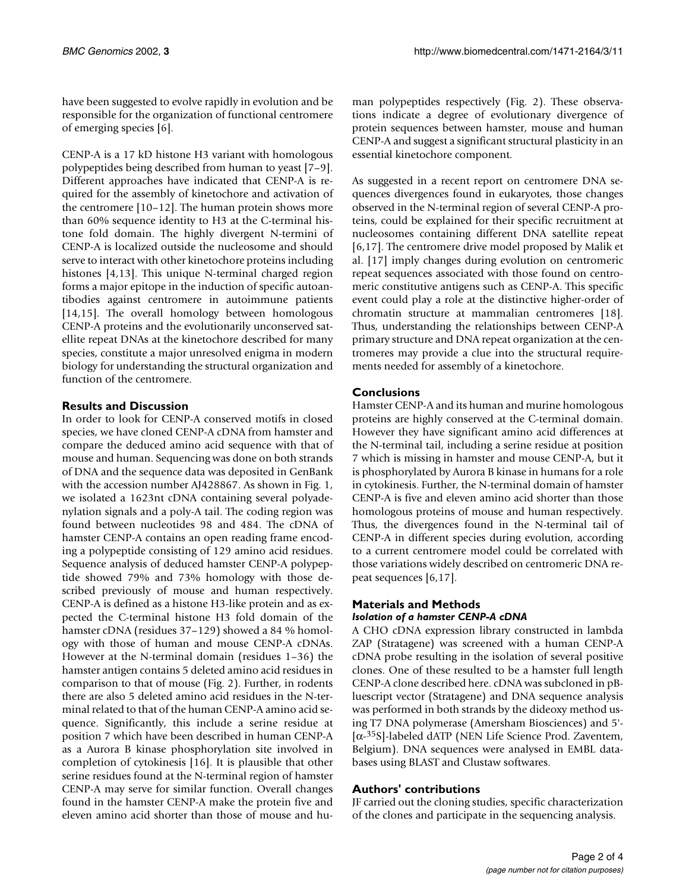have been suggested to evolve rapidly in evolution and be responsible for the organization of functional centromere of emerging species [6].

CENP-A is a 17 kD histone H3 variant with homologous polypeptides being described from human to yeast [7–9]. Different approaches have indicated that CENP-A is required for the assembly of kinetochore and activation of the centromere [10–12]. The human protein shows more than 60% sequence identity to H3 at the C-terminal histone fold domain. The highly divergent N-termini of CENP-A is localized outside the nucleosome and should serve to interact with other kinetochore proteins including histones [4,13]. This unique N-terminal charged region forms a major epitope in the induction of specific autoantibodies against centromere in autoimmune patients [14,15]. The overall homology between homologous CENP-A proteins and the evolutionarily unconserved satellite repeat DNAs at the kinetochore described for many species, constitute a major unresolved enigma in modern biology for understanding the structural organization and function of the centromere.

## **Results and Discussion**

In order to look for CENP-A conserved motifs in closed species, we have cloned CENP-A cDNA from hamster and compare the deduced amino acid sequence with that of mouse and human. Sequencing was done on both strands of DNA and the sequence data was deposited in GenBank with the accession number AJ428867. As shown in Fig. 1, we isolated a 1623nt cDNA containing several polyadenylation signals and a poly-A tail. The coding region was found between nucleotides 98 and 484. The cDNA of hamster CENP-A contains an open reading frame encoding a polypeptide consisting of 129 amino acid residues. Sequence analysis of deduced hamster CENP-A polypeptide showed 79% and 73% homology with those described previously of mouse and human respectively. CENP-A is defined as a histone H3-like protein and as expected the C-terminal histone H3 fold domain of the hamster cDNA (residues 37–129) showed a 84 % homology with those of human and mouse CENP-A cDNAs. However at the N-terminal domain (residues 1–36) the hamster antigen contains 5 deleted amino acid residues in comparison to that of mouse (Fig. 2). Further, in rodents there are also 5 deleted amino acid residues in the N-terminal related to that of the human CENP-A amino acid sequence. Significantly, this include a serine residue at position 7 which have been described in human CENP-A as a Aurora B kinase phosphorylation site involved in completion of cytokinesis [16]. It is plausible that other serine residues found at the N-terminal region of hamster CENP-A may serve for similar function. Overall changes found in the hamster CENP-A make the protein five and eleven amino acid shorter than those of mouse and human polypeptides respectively (Fig. 2). These observations indicate a degree of evolutionary divergence of protein sequences between hamster, mouse and human CENP-A and suggest a significant structural plasticity in an essential kinetochore component.

As suggested in a recent report on centromere DNA sequences divergences found in eukaryotes, those changes observed in the N-terminal region of several CENP-A proteins, could be explained for their specific recruitment at nucleosomes containing different DNA satellite repeat [6,17]. The centromere drive model proposed by Malik et al. [17] imply changes during evolution on centromeric repeat sequences associated with those found on centromeric constitutive antigens such as CENP-A. This specific event could play a role at the distinctive higher-order of chromatin structure at mammalian centromeres [18]. Thus, understanding the relationships between CENP-A primary structure and DNA repeat organization at the centromeres may provide a clue into the structural requirements needed for assembly of a kinetochore.

## **Conclusions**

Hamster CENP-A and its human and murine homologous proteins are highly conserved at the C-terminal domain. However they have significant amino acid differences at the N-terminal tail, including a serine residue at position 7 which is missing in hamster and mouse CENP-A, but it is phosphorylated by Aurora B kinase in humans for a role in cytokinesis. Further, the N-terminal domain of hamster CENP-A is five and eleven amino acid shorter than those homologous proteins of mouse and human respectively. Thus, the divergences found in the N-terminal tail of CENP-A in different species during evolution, according to a current centromere model could be correlated with those variations widely described on centromeric DNA repeat sequences [6,17].

## **Materials and Methods** *Isolation of a hamster CENP-A cDNA*

A CHO cDNA expression library constructed in lambda ZAP (Stratagene) was screened with a human CENP-A cDNA probe resulting in the isolation of several positive clones. One of these resulted to be a hamster full length CENP-A clone described here. cDNA was subcloned in pBluescript vector (Stratagene) and DNA sequence analysis was performed in both strands by the dideoxy method using T7 DNA polymerase (Amersham Biosciences) and 5'- [α-35S]-labeled dATP (NEN Life Science Prod. Zaventem, Belgium). DNA sequences were analysed in EMBL databases using BLAST and Clustaw softwares.

## **Authors' contributions**

JF carried out the cloning studies, specific characterization of the clones and participate in the sequencing analysis.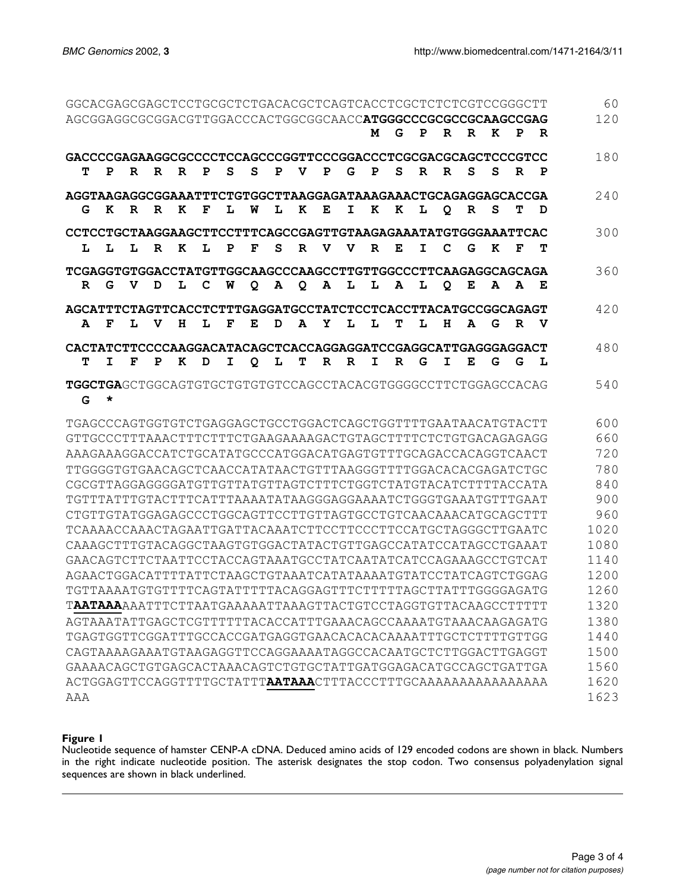|                                                                       |   |              |   |   |   |   |   |   |   |   |   |   |             |    |   |   |   |   |   | 60   |
|-----------------------------------------------------------------------|---|--------------|---|---|---|---|---|---|---|---|---|---|-------------|----|---|---|---|---|---|------|
|                                                                       |   |              |   |   |   |   |   |   |   |   |   | M | G           | P  | R | R | K | P | R | 120  |
|                                                                       |   |              |   |   |   |   |   |   |   |   |   |   |             |    |   |   |   |   |   |      |
| GACCCCGAGAAGGCGCCCCTCCAGCCCGGTTCCCGGACCCTCGCGACGCAGCTCCCGTCC<br>т     | P | R            | R | R | P | S | S | P | v | P | G | P | S           | R  | R | S | S | R | P | 180  |
| AGGTAAGAGGCGGAAATTTCTGTGGCTTAAGGAGATAAAGAAACTGCAGAGGAGCACCGA          |   |              |   |   |   |   |   |   |   |   |   |   |             |    |   |   |   |   |   | 240  |
| G                                                                     | K | $\mathbf{R}$ | R | K | F | L | W | L | K | Е | I | K | K           | L  | Q | R | S | т | D |      |
| CCTCCTGCTAAGGAAGCTTCCTTTCAGCCGAGTTGTAAGAGAAATATGTGGGAAATTCAC          |   |              |   |   |   |   |   |   |   |   |   |   |             |    |   |   |   |   |   | 300  |
| L                                                                     | L | L            | R | K | L | P | F | S | R | v | v | R | Е           | I  | C | G | K | F | т |      |
| TCGAGGTGTGGACCTATGTTGGCAAGCCCAAGCCTTGTTGGCCCTTCAAGAGGCAGCAGA          |   |              |   |   |   |   |   |   |   |   |   |   | 360         |    |   |   |   |   |   |      |
| R                                                                     | G | V            | D | L | C | W | Q | A | Q | A | L | L | A           | L  | Q | Е | A | A | Е |      |
| AGCATTTCTAGTTCACCTCTTTGAGGATGCCTATCTCCTCACCTTACATGCCGGCAGAGT          |   |              |   |   |   |   |   |   |   |   |   |   |             |    |   |   |   |   |   | 420  |
| A                                                                     | F | L            | v | н | L | F | Е | D | A | Y | L | L | т           | т. | н | Α | G | R | v |      |
|                                                                       |   |              |   |   |   |   |   |   |   |   |   |   |             |    |   |   |   |   |   | 480  |
| т                                                                     | I | F            | P | к | D | I | Q | L | т | R | R | I | $\mathbf R$ | G  | I | E | G | G | L |      |
|                                                                       |   |              |   |   |   |   |   |   |   |   |   |   |             |    |   |   |   |   |   |      |
| TGGCTGAGCTGGCAGTGTGCTGTGTGTCCAGCCTACACGTGGGGCCTTCTGGAGCCACAG<br>G     | * |              |   |   |   |   |   |   |   |   |   |   |             |    |   |   |   |   |   | 540  |
| TGAGCCCAGTGGTGTCTGAGGAGCTGCCTGGACTCAGCTGGTTTTGAATAACATGTACTT          |   |              |   |   |   |   |   |   |   |   |   |   |             |    |   |   |   |   |   | 600  |
| GTTGCCCTTTAAACTTTCTTTCTGAAGAAAAGACTGTAGCTTTTCTCTGTGACAGAGAGG          |   |              |   |   |   |   |   |   |   |   |   |   |             |    |   |   |   |   |   | 660  |
| AAAGAAAGGACCATCTGCATATGCCCATGGACATGAGTGTTTGCAGACCACAGGTCAACT          |   |              |   |   |   |   |   |   |   |   |   |   |             |    |   |   |   |   |   | 720  |
| TTGGGGTGTGAACAGCTCAACCATATAACTGTTTAAGGGTTTTGGACACACGAGATCTGC          |   |              |   |   |   |   |   |   |   |   |   |   |             |    |   |   |   |   |   | 780  |
| CGCGTTAGGAGGGGATGTTGTTATGTTAGTCTTTCTGGTCTATGTACATCTTTTACCATA          |   |              |   |   |   |   |   |   |   |   |   |   |             |    |   |   |   |   |   | 840  |
| TGTTTATTTGTACTTTCATTTAAAATATAAGGGAGGAAAATCTGGGTGAAATGTTTGAAT          |   |              |   |   |   |   |   |   |   |   |   |   |             |    |   |   |   |   |   | 900  |
|                                                                       |   |              |   |   |   |   |   |   |   |   |   |   |             |    |   |   |   |   |   | 960  |
| TCAAAACCAAACTAGAATTGATTACAAATCTTCCTTCCCTTCCATGCTAGGGCTTGAATC          |   |              |   |   |   |   |   |   |   |   |   |   |             |    |   |   |   |   |   | 1020 |
| CAAAGCTTTGTACAGGCTAAGTGTGGACTATACTGTTGAGCCATATCCATAGCCTGAAAT          |   |              |   |   |   |   |   |   |   |   |   |   |             |    |   |   |   |   |   | 1080 |
| GAACAGTCTTCTAATTCCTACCAGTAAATGCCTATCAATATCATCCAGAAAGCCTGTCAT          |   |              |   |   |   |   |   |   |   |   |   |   |             |    |   |   |   |   |   | 1140 |
| AGAACTGGACATTTTATTCTAAGCTGTAAATCATATAAAATGTATCCTATCAGTCTGGAG          |   |              |   |   |   |   |   |   |   |   |   |   |             |    |   |   |   |   |   | 1200 |
| TGTTAAAATGTGTTTTCAGTATTTTTACAGGAGTTTCTTTTTAGCTTATTTGGGGAGATG          |   |              |   |   |   |   |   |   |   |   |   |   |             |    |   |   |   |   |   | 1260 |
| TAATAAAAAATTTCTTAATGAAAAATTAAAGTTACTGTCCTAGGTGTTACAAGCCTTTTT          |   |              |   |   |   |   |   |   |   |   |   |   |             |    |   |   |   |   |   | 1320 |
| AGTAAATATTGAGCTCGTTTTTTACACCATTTGAAACAGCCAAAATGTAAACAAGAGATG          |   |              |   |   |   |   |   |   |   |   |   |   |             |    |   |   |   |   |   | 1380 |
|                                                                       |   |              |   |   |   |   |   |   |   |   |   |   |             |    |   |   |   |   |   | 1440 |
| CAGTAAAAGAAATGTAAGAGGTTCCAGGAAAATAGGCCACAATGCTCTTGGACTTGAGGT          |   |              |   |   |   |   |   |   |   |   |   |   |             |    |   |   |   |   |   | 1500 |
| GAAAACAGCTGTGAGCACTAAACAGTCTGTGCTATTGATGGAGACATGCCAGCTGATTGA          |   |              |   |   |   |   |   |   |   |   |   |   |             |    |   |   |   |   |   | 1560 |
| ACTGGAGTTCCAGGTTTTGCTATTT <b>AATAAA</b> CTTTACCCTTTGCAAAAAAAAAAAAAAAA |   |              |   |   |   |   |   |   |   |   |   |   |             |    |   |   |   |   |   | 1620 |
| AAA                                                                   |   |              |   |   |   |   |   |   |   |   |   |   |             |    |   |   |   |   |   | 1623 |

#### **Figure 1**

Nucleotide sequence of hamster CENP-A cDNA. Deduced amino acids of 129 encoded codons are shown in black. Numbers in the right indicate nucleotide position. The asterisk designates the stop codon. Two consensus polyadenylation signal sequences are shown in black underlined.